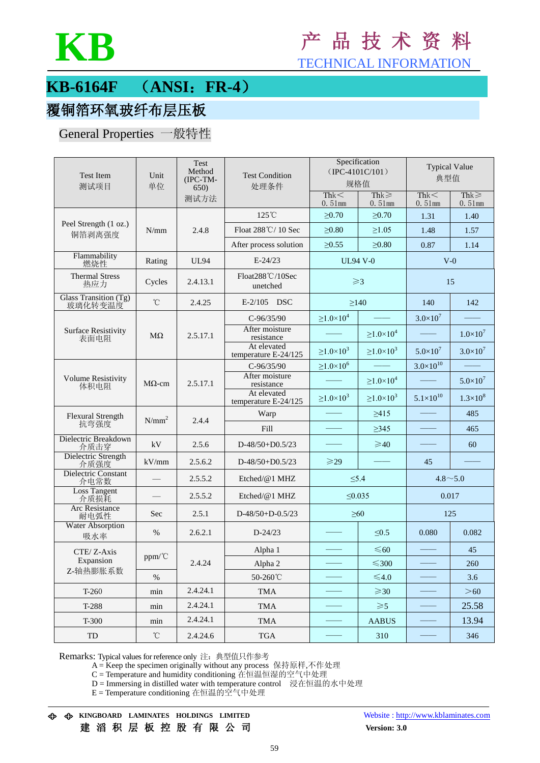

# **KB** <sup>产</sup> <sup>品</sup> <sup>技</sup> <sup>术</sup> <sup>资</sup> <sup>料</sup>

TECHNICAL INFORMATION

### **KB-6164F** (**ANSI**:**FR-4**)

### 覆铜箔环氧玻纤布层压板

#### General Properties 一般特性

| Test Item<br>测试项目                  | Unit<br>单位    | Test<br>Method<br>(IPC-TM-<br>650) | <b>Test Condition</b><br>处理条件       | Specification<br>$(IPC-4101C/101)$<br>规格值 |                         | <b>Typical Value</b><br>典型值 |                      |
|------------------------------------|---------------|------------------------------------|-------------------------------------|-------------------------------------------|-------------------------|-----------------------------|----------------------|
|                                    |               | 测试方法                               |                                     | Thk<<br>$0.51$ mm                         | $Thk \geq$<br>$0.51$ mm | Thk<<br>$0.51$ mm           | Thk $\geq$<br>0.51mm |
| Peel Strength (1 oz.)<br>铜箔剥离强度    | N/mm          | 2.4.8                              | $125^{\circ}$ C                     | >0.70                                     | >0.70                   | 1.31                        | 1.40                 |
|                                    |               |                                    | Float 288°C/10 Sec                  | $\geq 0.80$                               | $\geq 1.05$             | 1.48                        | 1.57                 |
|                                    |               |                                    | After process solution              | $\geq 0.55$                               | $\geq 0.80$             | 0.87                        | 1.14                 |
| Flammability<br>燃烧性                | Rating        | <b>UL94</b>                        | $E-24/23$                           | <b>UL94 V-0</b>                           |                         | $V-0$                       |                      |
| <b>Thermal Stress</b><br>热应力       | Cycles        | 2.4.13.1                           | Float288°C/10Sec<br>unetched        | $\geqslant$ 3                             |                         | 15                          |                      |
| Glass Transition (Tg)<br>玻璃化转变温度   | $^{\circ}$ C  | 2.4.25                             | $E-2/105$ DSC                       | $\geq$ 140                                |                         | 140                         | 142                  |
|                                    | $M\Omega$     | 2.5.17.1                           | $C-96/35/90$                        | $\geq$ 1.0 $\times$ 10 <sup>4</sup>       |                         | $3.0\times10^{7}$           |                      |
| <b>Surface Resistivity</b><br>表面电阻 |               |                                    | After moisture<br>resistance        |                                           | $\geq 1.0 \times 10^4$  |                             | $1.0\times10^{7}$    |
|                                    |               |                                    | At elevated<br>temperature E-24/125 | $\geq 1.0 \times 10^3$                    | $\geq 1.0 \times 10^3$  | $5.0\times10^{7}$           | $3.0\times10^7$      |
| <b>Volume Resistivity</b><br>体积电阻  | $M\Omega$ -cm | 2.5.17.1                           | $C-96/35/90$                        | $\geq$ 1.0 $\times$ 10 <sup>6</sup>       |                         | $3.0\times10^{10}$          |                      |
|                                    |               |                                    | After moisture<br>resistance        |                                           | $\geq 1.0 \times 10^4$  |                             | $5.0\times10^{7}$    |
|                                    |               |                                    | At elevated<br>temperature E-24/125 | $\geq 1.0 \times 10^3$                    | $\geq 1.0 \times 10^3$  | $5.1 \times 10^{10}$        | $1.3 \times 10^8$    |
| <b>Flexural Strength</b><br>抗弯强度   | $N/mm^2$      | 2.4.4                              | Warp                                |                                           | $\geq 415$              |                             | 485                  |
|                                    |               |                                    | Fill                                |                                           | >345                    |                             | 465                  |
| Dielectric Breakdown<br>介质击穿       | kV            | 2.5.6                              | $D-48/50+D0.5/23$                   |                                           | $\geqslant$ 40          |                             | 60                   |
| Dielectric Strength<br>介质强度        | kV/mm         | 2.5.6.2                            | $D-48/50+D0.5/23$                   | $\geqslant$ 29                            |                         | 45                          |                      |
| <b>Dielectric Constant</b><br>介电常数 |               | 2.5.5.2                            | Etched/@1 MHZ                       | $\leq 5.4$                                |                         | $4.8 \sim 5.0$              |                      |
| <b>Loss Tangent</b><br>介质损耗        |               | 2.5.5.2                            | Etched/@1 MHZ                       | $\leq 0.035$                              |                         | 0.017                       |                      |
| Arc Resistance<br>耐电弧性             | Sec           | 2.5.1                              | $D-48/50+D-0.5/23$                  | $\geq 60$                                 |                         | 125                         |                      |
| <b>Water Absorption</b><br>吸水率     | $\%$          | 2.6.2.1                            | $D - 24/23$                         |                                           | $\leq 0.5$              | 0.080                       | 0.082                |
| CTE/Z-Axis                         | ppm/°C        | 2.4.24                             | Alpha 1                             |                                           | $\leq 60$               |                             | 45                   |
| Expansion                          |               |                                    | Alpha 2                             |                                           | $≤300$                  |                             | 260                  |
| Z-轴热膨胀系数                           | $\%$          |                                    | 50-260°C                            |                                           | ≤4.0                    |                             | 3.6                  |
| $T-260$                            | min           | 2.4.24.1                           | <b>TMA</b>                          |                                           | $\geqslant$ 30          |                             | >60                  |
| T-288                              | min           | 2.4.24.1                           | <b>TMA</b>                          |                                           | $\geqslant$ 5           |                             | 25.58                |
| T-300                              | min           | 2.4.24.1                           | <b>TMA</b>                          |                                           | <b>AABUS</b>            |                             | 13.94                |
| TD                                 | $^{\circ}$ C  | 2.4.24.6                           | <b>TGA</b>                          |                                           | 310                     |                             | 346                  |

Remarks: Typical values for reference only 注:典型值只作参考

A = Keep the specimen originally without any process 保持原样,不作处理

C = Temperature and humidity conditioning 在恒温恒湿的空气中处理

D = Immersing in distilled water with temperature control 浸在恒温的水中处理

E = Temperature conditioning 在恒温的空气中处理

**KINGBOARD LAMINATES HOLDINGS LIMITED** Website [: http://www.kblaminates.com](http://www.kblaminates.com/)

建 滔 积 层 板 控 股 有 限 公 司 **Version: 3.0**